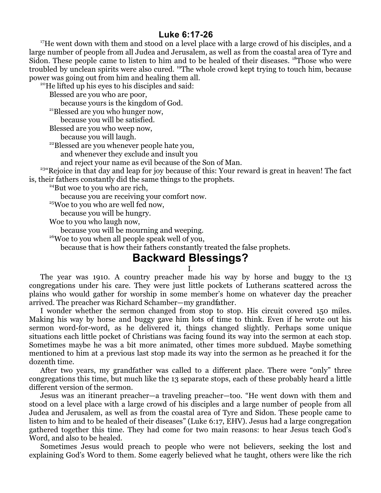## **Luke 6:17-26**

<sup>17</sup>He went down with them and stood on a level place with a large crowd of his disciples, and a large number of people from all Judea and Jerusalem, as well as from the coastal area of Tyre and Sidon. These people came to listen to him and to be healed of their diseases. <sup>18</sup>Those who were troubled by unclean spirits were also cured. <sup>19</sup>The whole crowd kept trying to touch him, because power was going out from him and healing them all.

<sup>20</sup>He lifted up his eyes to his disciples and said:

Blessed are you who are poor,

because yours is the kingdom of God.

<sup>21</sup>Blessed are you who hunger now,

because you will be satisfied.

Blessed are you who weep now,

because you will laugh.

<sup>22</sup>Blessed are you whenever people hate you,

and whenever they exclude and insult you

and reject your name as evil because of the Son of Man.

<sup>23</sup><sup>"</sup>Rejoice in that day and leap for joy because of this: Your reward is great in heaven! The fact is, their fathers constantly did the same things to the prophets.

<sup>24</sup>But woe to you who are rich,

because you are receiving your comfort now.

<sup>25</sup>Woe to you who are well fed now,

because you will be hungry.

Woe to you who laugh now,

because you will be mourning and weeping.

<sup>26</sup>Woe to you when all people speak well of you,

because that is how their fathers constantly treated the false prophets.

## **Backward Blessings?**

## I.

The year was 1910. A country preacher made his way by horse and buggy to the 13 congregations under his care. They were just little pockets of Lutherans scattered across the plains who would gather for worship in some member's home on whatever day the preacher arrived. The preacher was Richard Schamber—my grandfather.

I wonder whether the sermon changed from stop to stop. His circuit covered 150 miles. Making his way by horse and buggy gave him lots of time to think. Even if he wrote out his sermon word-for-word, as he delivered it, things changed slightly. Perhaps some unique situations each little pocket of Christians was facing found its way into the sermon at each stop. Sometimes maybe he was a bit more animated, other times more subdued. Maybe something mentioned to him at a previous last stop made its way into the sermon as he preached it for the dozenth time.

After two years, my grandfather was called to a different place. There were "only" three congregations this time, but much like the 13 separate stops, each of these probably heard a little different version of the sermon.

Jesus was an itinerant preacher—a traveling preacher—too. "He went down with them and stood on a level place with a large crowd of his disciples and a large number of people from all Judea and Jerusalem, as well as from the coastal area of Tyre and Sidon. These people came to listen to him and to be healed of their diseases" (Luke 6:17, EHV). Jesus had a large congregation gathered together this time. They had come for two main reasons: to hear Jesus teach God's Word, and also to be healed.

Sometimes Jesus would preach to people who were not believers, seeking the lost and explaining God's Word to them. Some eagerly believed what he taught, others were like the rich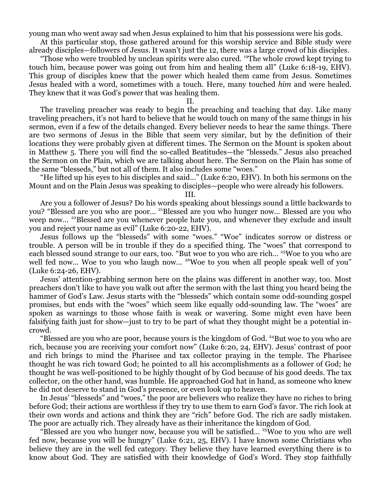young man who went away sad when Jesus explained to him that his possessions were his gods.

At this particular stop, those gathered around for this worship service and Bible study were already disciples—followers of Jesus. It wasn't just the 12, there was a large crowd of his disciples.

"Those who were troubled by unclean spirits were also cured. <sup>19</sup>The whole crowd kept trying to touch him, because power was going out from him and healing them all" (Luke 6:18-19, EHV). This group of disciples knew that the power which healed them came from Jesus. Sometimes Jesus healed with a word, sometimes with a touch. Here, many touched *him* and were healed. They knew that it was God's power that was healing them.

II.

The traveling preacher was ready to begin the preaching and teaching that day. Like many traveling preachers, it's not hard to believe that he would touch on many of the same things in his sermon, even if a few of the details changed. Every believer needs to hear the same things. There are two sermons of Jesus in the Bible that seem very similar, but by the definition of their locations they were probably given at different times. The Sermon on the Mount is spoken about in Matthew 5. There you will find the so-called Beatitudes—the "blesseds." Jesus also preached the Sermon on the Plain, which we are talking about here. The Sermon on the Plain has some of the same "blesseds," but not all of them. It also includes some "woes."

"He lifted up his eyes to his disciples and said..." (Luke 6:20, EHV). In both his sermons on the Mount and on the Plain Jesus was speaking to disciples—people who were already his followers.

III.

Are you a follower of Jesus? Do his words speaking about blessings sound a little backwards to you? "Blessed are you who are poor... <sup>21</sup>Blessed are you who hunger now... Blessed are you who weep now... <sup>22</sup>Blessed are you whenever people hate you, and whenever they exclude and insult you and reject your name as evil" (Luke 6:20-22, EHV).

Jesus follows up the "blesseds" with some "woes." "Woe" indicates sorrow or distress or trouble. A person will be in trouble if they do a specified thing. The "woes" that correspond to each blessed sound strange to our ears, too. "But woe to you who are rich... <sup>25</sup>Woe to you who are well fed now... Woe to you who laugh now... <sup>26</sup>Woe to you when all people speak well of you" (Luke 6:24-26, EHV).

Jesus' attention-grabbing sermon here on the plains was different in another way, too. Most preachers don't like to have you walk out after the sermon with the last thing you heard being the hammer of God's Law. Jesus starts with the "blesseds" which contain some odd-sounding gospel promises, but ends with the "woes" which seem like equally odd-sounding law. The "woes" are spoken as warnings to those whose faith is weak or wavering. Some might even have been falsifying faith just for show—just to try to be part of what they thought might be a potential incrowd.

"Blessed are you who are poor, because yours is the kingdom of God. <sup>24</sup>But woe to you who are rich, because you are receiving your comfort now" (Luke 6:20, 24, EHV). Jesus' contrast of poor and rich brings to mind the Pharisee and tax collector praying in the temple. The Pharisee thought he was rich toward God; he pointed to all his accomplishments as a follower of God; he thought he was well-positioned to be highly thought of by God because of his good deeds. The tax collector, on the other hand, was humble. He approached God hat in hand, as someone who knew he did not deserve to stand in God's presence, or even look up to heaven.

In Jesus' "blesseds" and "woes," the poor are believers who realize they have no riches to bring before God; their actions are worthless if they try to use them to earn God's favor. The rich look at their own words and actions and think they are "rich" before God. The rich are sadly mistaken. The poor are actually rich. They already have as their inheritance the kingdom of God.

"Blessed are you who hunger now, because you will be satisfied... <sup>25</sup>Woe to you who are well fed now, because you will be hungry" (Luke 6:21, 25, EHV). I have known some Christians who believe they are in the well fed category. They believe they have learned everything there is to know about God. They are satisfied with their knowledge of God's Word. They stop faithfully